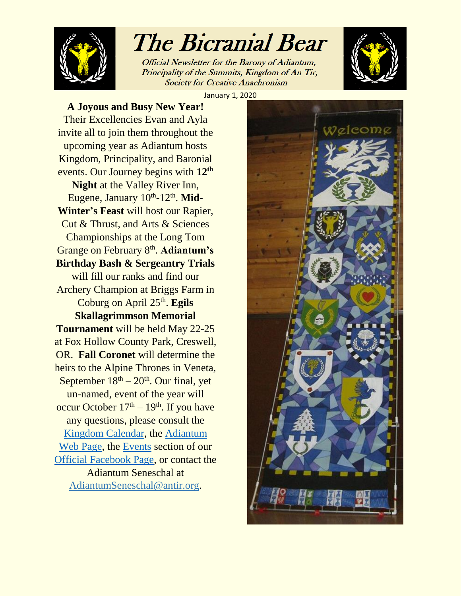

# The Bicranial Bear

Official Newsletter for the Barony of Adiantum, Principality of the Summits, Kingdom of An Tir, **Society for Creative Anachronism** 



January 1, 2020

**A Joyous and Busy New Year!** Their Excellencies Evan and Ayla invite all to join them throughout the upcoming year as Adiantum hosts Kingdom, Principality, and Baronial events. Our Journey begins with **12th Night** at the Valley River Inn, Eugene, January 10<sup>th</sup>-12<sup>th</sup>. Mid-**Winter's Feast** will host our Rapier, Cut & Thrust, and Arts & Sciences Championships at the Long Tom Grange on February 8<sup>th</sup>. Adiantum's **Birthday Bash & Sergeantry Trials** will fill our ranks and find our Archery Champion at Briggs Farm in Coburg on April 25<sup>th</sup>. Egils **Skallagrimmson Memorial Tournament** will be held May 22-25 at Fox Hollow County Park, Creswell, OR. **Fall Coronet** will determine the heirs to the Alpine Thrones in Veneta, September  $18<sup>th</sup> - 20<sup>th</sup>$ . Our final, yet un-named, event of the year will occur October  $17<sup>th</sup> - 19<sup>th</sup>$ . If you have any questions, please consult the [Kingdom Calendar,](https://www.antir.org/events/) the [Adiantum](http://adiantum.antir.sca.org/)  [Web Page,](http://adiantum.antir.sca.org/) the [Events](https://www.facebook.com/pg/BaronyofAdiantum/events/?ref=page_internal) section of our [Official Facebook Page,](https://www.facebook.com/BaronyofAdiantum/) or contact the Adiantum Seneschal at AdiantumSeneschal@antir.org.